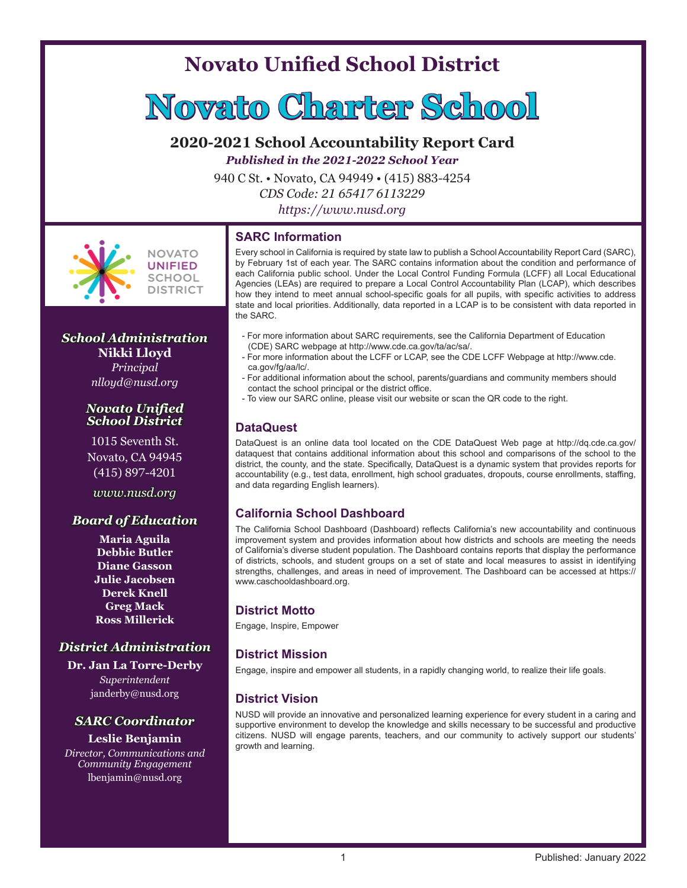# **Novato Unified School District**



# **2020-2021 School Accountability Report Card**

*Published in the 2021-2022 School Year*

940 C St. • Novato, CA 94949 • (415) 883-4254

*CDS Code: 21 65417 6113229*

*https://www.nusd.org*

#### **SARC Information**

**NOVATO** UNIFIED SCHOOL **DISTRICT** 

# *School Administration* **Nikki Lloyd**

*Principal nlloyd@nusd.org*

#### *Novato Unified School District*

1015 Seventh St. Novato, CA 94945 (415) 897-4201

*www.nusd.org*

## *Board of Education*

**Maria Aguila Debbie Butler Diane Gasson Julie Jacobsen Derek Knell Greg Mack Ross Millerick**

# *District Administration*

**Dr. Jan La Torre-Derby** *Superintendent* janderby@nusd.org

# *SARC Coordinator*

#### **Leslie Benjamin**

*Director, Communications and Community Engagement* lbenjamin@nusd.org

Every school in California is required by state law to publish a School Accountability Report Card (SARC), by February 1st of each year. The SARC contains information about the condition and performance of each California public school. Under the Local Control Funding Formula (LCFF) all Local Educational Agencies (LEAs) are required to prepare a Local Control Accountability Plan (LCAP), which describes how they intend to meet annual school-specific goals for all pupils, with specific activities to address state and local priorities. Additionally, data reported in a LCAP is to be consistent with data reported in the SARC.

- For more information about SARC requirements, see the California Department of Education (CDE) SARC webpage at http://www.cde.ca.gov/ta/ac/sa/.
- For more information about the LCFF or LCAP, see the CDE LCFF Webpage at http://www.cde. ca.gov/fg/aa/lc/.
- For additional information about the school, parents/guardians and community members should contact the school principal or the district office.
- To view our SARC online, please visit our website or scan the QR code to the right.

#### **DataQuest**

DataQuest is an online data tool located on the CDE DataQuest Web page at http://dq.cde.ca.gov/ dataquest that contains additional information about this school and comparisons of the school to the district, the county, and the state. Specifically, DataQuest is a dynamic system that provides reports for accountability (e.g., test data, enrollment, high school graduates, dropouts, course enrollments, staffing, and data regarding English learners).

## **California School Dashboard**

The California School Dashboard (Dashboard) reflects California's new accountability and continuous improvement system and provides information about how districts and schools are meeting the needs of California's diverse student population. The Dashboard contains reports that display the performance of districts, schools, and student groups on a set of state and local measures to assist in identifying strengths, challenges, and areas in need of improvement. The Dashboard can be accessed at https:// www.caschooldashboard.org.

#### **District Motto**

Engage, Inspire, Empower

## **District Mission**

Engage, inspire and empower all students, in a rapidly changing world, to realize their life goals.

## **District Vision**

NUSD will provide an innovative and personalized learning experience for every student in a caring and supportive environment to develop the knowledge and skills necessary to be successful and productive citizens. NUSD will engage parents, teachers, and our community to actively support our students' growth and learning.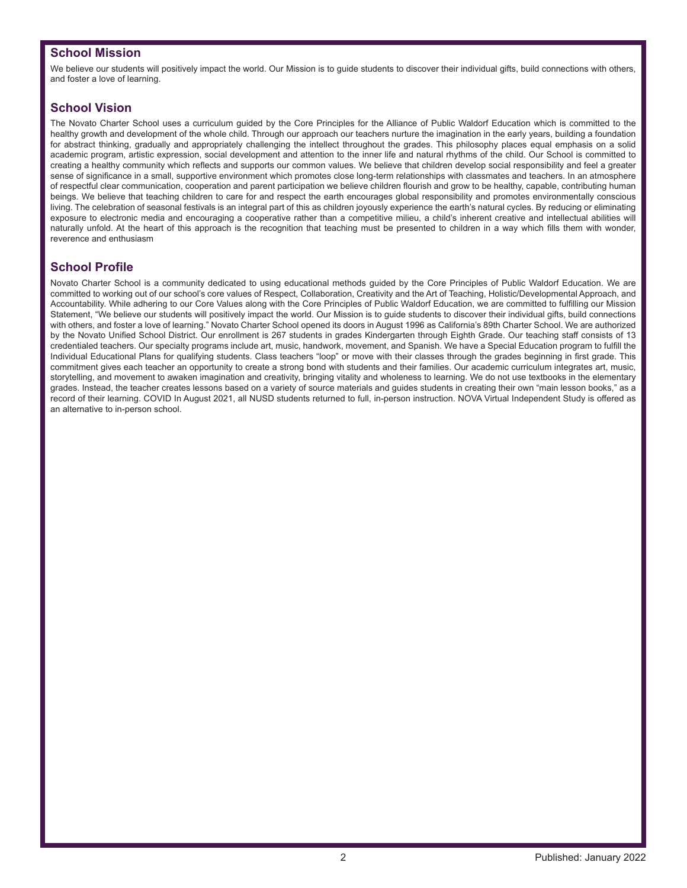#### **School Mission**

We believe our students will positively impact the world. Our Mission is to guide students to discover their individual gifts, build connections with others, and foster a love of learning.

## **School Vision**

The Novato Charter School uses a curriculum guided by the Core Principles for the Alliance of Public Waldorf Education which is committed to the healthy growth and development of the whole child. Through our approach our teachers nurture the imagination in the early years, building a foundation for abstract thinking, gradually and appropriately challenging the intellect throughout the grades. This philosophy places equal emphasis on a solid academic program, artistic expression, social development and attention to the inner life and natural rhythms of the child. Our School is committed to creating a healthy community which reflects and supports our common values. We believe that children develop social responsibility and feel a greater sense of significance in a small, supportive environment which promotes close long-term relationships with classmates and teachers. In an atmosphere of respectful clear communication, cooperation and parent participation we believe children flourish and grow to be healthy, capable, contributing human beings. We believe that teaching children to care for and respect the earth encourages global responsibility and promotes environmentally conscious living. The celebration of seasonal festivals is an integral part of this as children joyously experience the earth's natural cycles. By reducing or eliminating exposure to electronic media and encouraging a cooperative rather than a competitive milieu, a child's inherent creative and intellectual abilities will naturally unfold. At the heart of this approach is the recognition that teaching must be presented to children in a way which fills them with wonder, reverence and enthusiasm

## **School Profile**

Novato Charter School is a community dedicated to using educational methods guided by the Core Principles of Public Waldorf Education. We are committed to working out of our school's core values of Respect, Collaboration, Creativity and the Art of Teaching, Holistic/Developmental Approach, and Accountability. While adhering to our Core Values along with the Core Principles of Public Waldorf Education, we are committed to fulfilling our Mission Statement, "We believe our students will positively impact the world. Our Mission is to guide students to discover their individual gifts, build connections with others, and foster a love of learning." Novato Charter School opened its doors in August 1996 as California's 89th Charter School. We are authorized by the Novato Unified School District. Our enrollment is 267 students in grades Kindergarten through Eighth Grade. Our teaching staff consists of 13 credentialed teachers. Our specialty programs include art, music, handwork, movement, and Spanish. We have a Special Education program to fulfill the Individual Educational Plans for qualifying students. Class teachers "loop" or move with their classes through the grades beginning in first grade. This commitment gives each teacher an opportunity to create a strong bond with students and their families. Our academic curriculum integrates art, music, storytelling, and movement to awaken imagination and creativity, bringing vitality and wholeness to learning. We do not use textbooks in the elementary grades. Instead, the teacher creates lessons based on a variety of source materials and guides students in creating their own "main lesson books," as a record of their learning. COVID In August 2021, all NUSD students returned to full, in-person instruction. NOVA Virtual Independent Study is offered as an alternative to in-person school.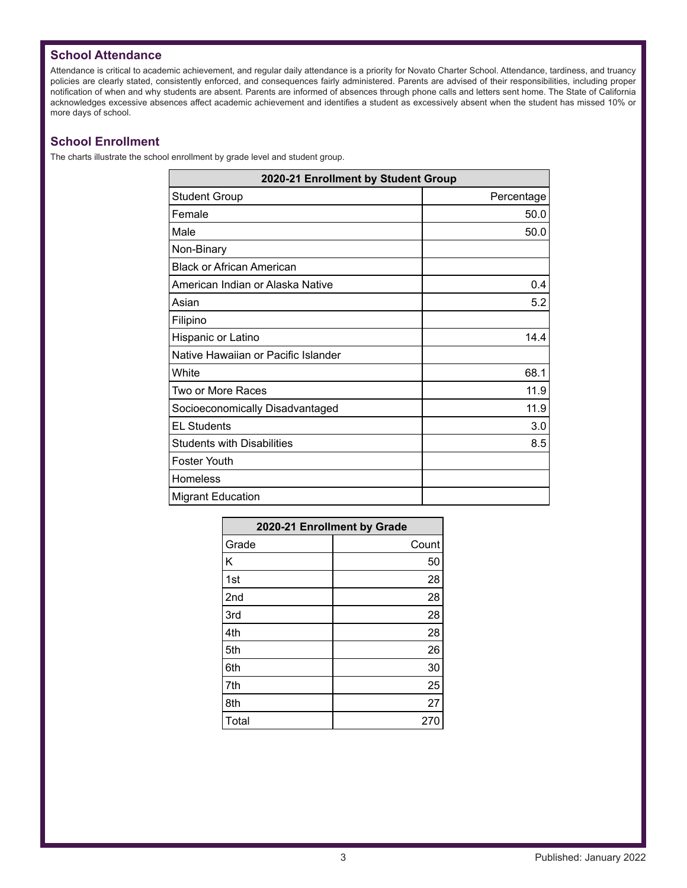## **School Attendance**

Attendance is critical to academic achievement, and regular daily attendance is a priority for Novato Charter School. Attendance, tardiness, and truancy policies are clearly stated, consistently enforced, and consequences fairly administered. Parents are advised of their responsibilities, including proper notification of when and why students are absent. Parents are informed of absences through phone calls and letters sent home. The State of California acknowledges excessive absences affect academic achievement and identifies a student as excessively absent when the student has missed 10% or more days of school.

## **School Enrollment**

The charts illustrate the school enrollment by grade level and student group.

| 2020-21 Enrollment by Student Group |            |  |  |  |  |
|-------------------------------------|------------|--|--|--|--|
| <b>Student Group</b>                | Percentage |  |  |  |  |
| Female                              | 50.0       |  |  |  |  |
| Male                                | 50.0       |  |  |  |  |
| Non-Binary                          |            |  |  |  |  |
| <b>Black or African American</b>    |            |  |  |  |  |
| American Indian or Alaska Native    | 0.4        |  |  |  |  |
| Asian                               | 5.2        |  |  |  |  |
| Filipino                            |            |  |  |  |  |
| Hispanic or Latino                  | 14.4       |  |  |  |  |
| Native Hawaiian or Pacific Islander |            |  |  |  |  |
| White                               | 68.1       |  |  |  |  |
| Two or More Races                   | 11.9       |  |  |  |  |
| Socioeconomically Disadvantaged     | 11.9       |  |  |  |  |
| <b>EL Students</b>                  | 3.0        |  |  |  |  |
| <b>Students with Disabilities</b>   | 8.5        |  |  |  |  |
| <b>Foster Youth</b>                 |            |  |  |  |  |
| Homeless                            |            |  |  |  |  |
| <b>Migrant Education</b>            |            |  |  |  |  |

| 2020-21 Enrollment by Grade |       |  |  |  |  |  |
|-----------------------------|-------|--|--|--|--|--|
| Grade                       | Count |  |  |  |  |  |
| Κ                           | 50    |  |  |  |  |  |
| 1st                         | 28    |  |  |  |  |  |
| 2nd                         | 28    |  |  |  |  |  |
| 3rd                         | 28    |  |  |  |  |  |
| 4th                         | 28    |  |  |  |  |  |
| 5th                         | 26    |  |  |  |  |  |
| 6th                         | 30    |  |  |  |  |  |
| 7th                         | 25    |  |  |  |  |  |
| 8th                         | 27    |  |  |  |  |  |
| Total                       | 270   |  |  |  |  |  |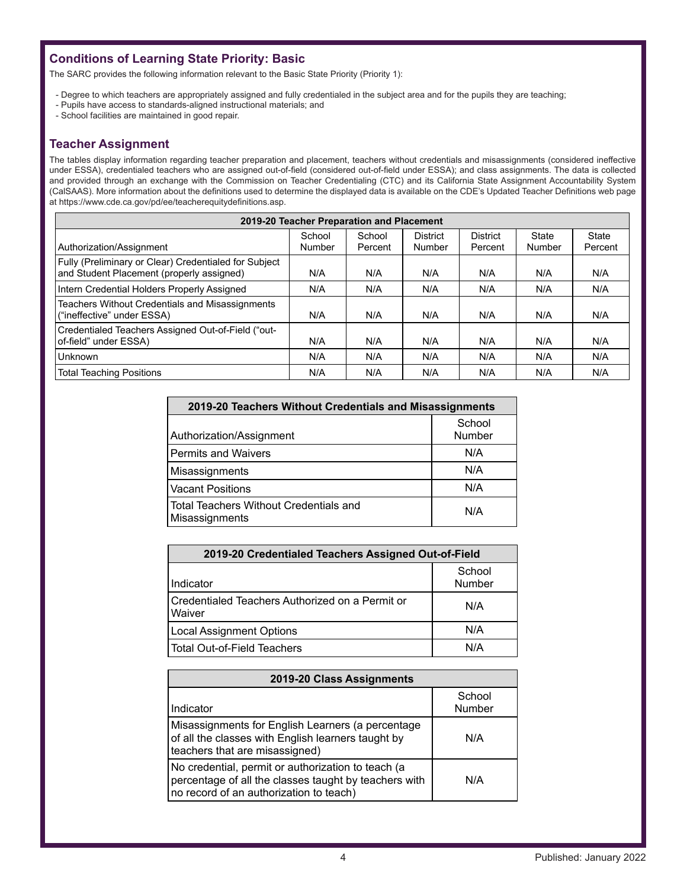# **Conditions of Learning State Priority: Basic**

The SARC provides the following information relevant to the Basic State Priority (Priority 1):

- Degree to which teachers are appropriately assigned and fully credentialed in the subject area and for the pupils they are teaching;
- Pupils have access to standards-aligned instructional materials; and
- School facilities are maintained in good repair.

#### **Teacher Assignment**

The tables display information regarding teacher preparation and placement, teachers without credentials and misassignments (considered ineffective under ESSA), credentialed teachers who are assigned out-of-field (considered out-of-field under ESSA); and class assignments. The data is collected and provided through an exchange with the Commission on Teacher Credentialing (CTC) and its California State Assignment Accountability System (CalSAAS). More information about the definitions used to determine the displayed data is available on the CDE's Updated Teacher Definitions web page at https://www.cde.ca.gov/pd/ee/teacherequitydefinitions.asp.

| 2019-20 Teacher Preparation and Placement                                                          |                  |                   |                           |                            |                 |                  |  |  |
|----------------------------------------------------------------------------------------------------|------------------|-------------------|---------------------------|----------------------------|-----------------|------------------|--|--|
| Authorization/Assignment                                                                           | School<br>Number | School<br>Percent | <b>District</b><br>Number | <b>District</b><br>Percent | State<br>Number | State<br>Percent |  |  |
| Fully (Preliminary or Clear) Credentialed for Subject<br>and Student Placement (properly assigned) | N/A              | N/A               | N/A                       | N/A                        | N/A             | N/A              |  |  |
| Intern Credential Holders Properly Assigned                                                        | N/A              | N/A               | N/A                       | N/A                        | N/A             | N/A              |  |  |
| Teachers Without Credentials and Misassignments<br>("ineffective" under ESSA)                      | N/A              | N/A               | N/A                       | N/A                        | N/A             | N/A              |  |  |
| Credentialed Teachers Assigned Out-of-Field ("out-<br>of-field" under ESSA)                        | N/A              | N/A               | N/A                       | N/A                        | N/A             | N/A              |  |  |
| Unknown                                                                                            | N/A              | N/A               | N/A                       | N/A                        | N/A             | N/A              |  |  |
| <b>Total Teaching Positions</b>                                                                    | N/A              | N/A               | N/A                       | N/A                        | N/A             | N/A              |  |  |

| 2019-20 Teachers Without Credentials and Misassignments  |                  |  |  |  |
|----------------------------------------------------------|------------------|--|--|--|
| Authorization/Assignment                                 | School<br>Number |  |  |  |
| <b>Permits and Waivers</b>                               | N/A              |  |  |  |
| Misassignments                                           | N/A              |  |  |  |
| <b>Vacant Positions</b>                                  | N/A              |  |  |  |
| Total Teachers Without Credentials and<br>Misassignments | N/A              |  |  |  |

| 2019-20 Credentialed Teachers Assigned Out-of-Field       |     |  |  |  |  |
|-----------------------------------------------------------|-----|--|--|--|--|
| School<br>Number<br>Indicator                             |     |  |  |  |  |
| Credentialed Teachers Authorized on a Permit or<br>Waiver | N/A |  |  |  |  |
| <b>Local Assignment Options</b>                           | N/A |  |  |  |  |
| <b>Total Out-of-Field Teachers</b>                        | N/A |  |  |  |  |

| 2019-20 Class Assignments                                                                                                                              |                  |  |  |  |  |
|--------------------------------------------------------------------------------------------------------------------------------------------------------|------------------|--|--|--|--|
| Indicator                                                                                                                                              | School<br>Number |  |  |  |  |
| Misassignments for English Learners (a percentage<br>of all the classes with English learners taught by<br>teachers that are misassigned)              | N/A              |  |  |  |  |
| No credential, permit or authorization to teach (a<br>percentage of all the classes taught by teachers with<br>no record of an authorization to teach) | N/A              |  |  |  |  |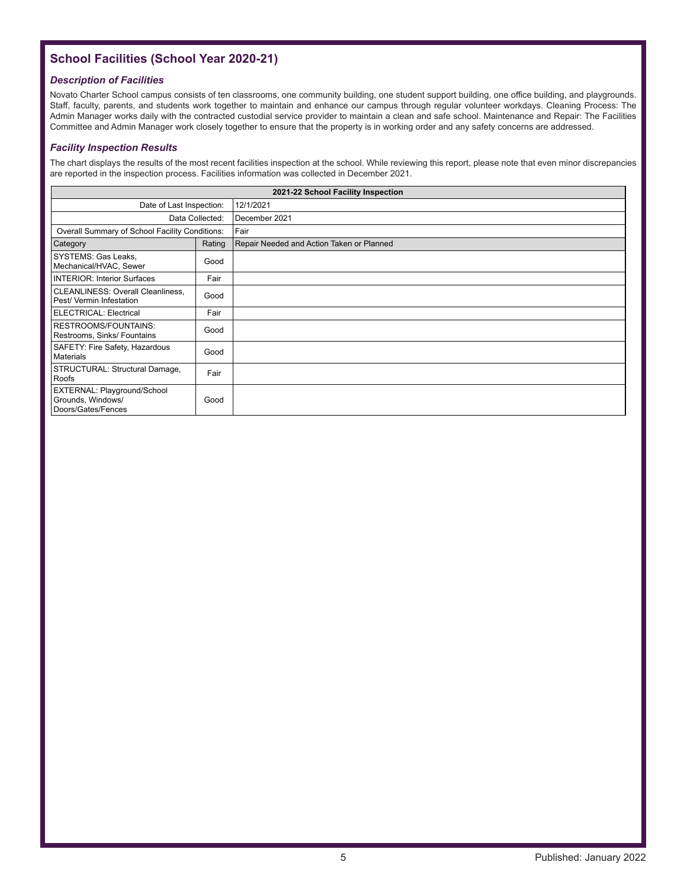# **School Facilities (School Year 2020-21)**

#### *Description of Facilities*

Novato Charter School campus consists of ten classrooms, one community building, one student support building, one office building, and playgrounds. Staff, faculty, parents, and students work together to maintain and enhance our campus through regular volunteer workdays. Cleaning Process: The Admin Manager works daily with the contracted custodial service provider to maintain a clean and safe school. Maintenance and Repair: The Facilities Committee and Admin Manager work closely together to ensure that the property is in working order and any safety concerns are addressed.

#### *Facility Inspection Results*

The chart displays the results of the most recent facilities inspection at the school. While reviewing this report, please note that even minor discrepancies are reported in the inspection process. Facilities information was collected in December 2021.

|                                                                               |                 | 2021-22 School Facility Inspection        |
|-------------------------------------------------------------------------------|-----------------|-------------------------------------------|
| Date of Last Inspection:                                                      |                 | 12/1/2021                                 |
|                                                                               | Data Collected: | December 2021                             |
| Overall Summary of School Facility Conditions:                                |                 | Fair                                      |
| Category                                                                      | Rating          | Repair Needed and Action Taken or Planned |
| SYSTEMS: Gas Leaks,<br>Mechanical/HVAC, Sewer                                 | Good            |                                           |
| <b>INTERIOR: Interior Surfaces</b>                                            | Fair            |                                           |
| <b>CLEANLINESS: Overall Cleanliness,</b><br>Pest/ Vermin Infestation          | Good            |                                           |
| ELECTRICAL: Electrical                                                        | Fair            |                                           |
| RESTROOMS/FOUNTAINS:<br>Restrooms, Sinks/ Fountains                           | Good            |                                           |
| SAFETY: Fire Safety, Hazardous<br>Materials                                   | Good            |                                           |
| STRUCTURAL: Structural Damage,<br>Roofs                                       | Fair            |                                           |
| <b>EXTERNAL: Playground/School</b><br>Grounds, Windows/<br>Doors/Gates/Fences | Good            |                                           |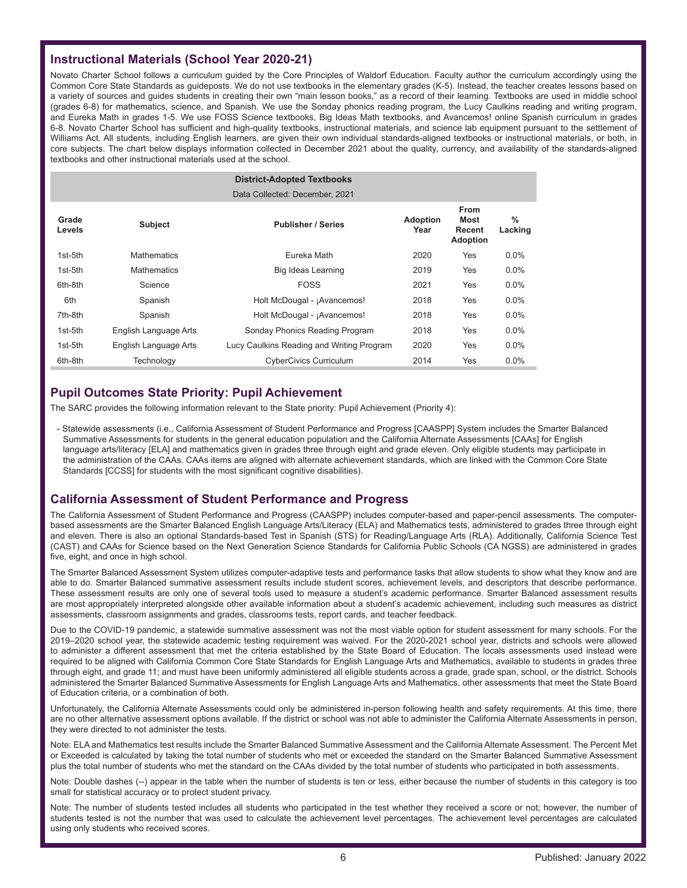## **Instructional Materials (School Year 2020-21)**

Novato Charter School follows a curriculum guided by the Core Principles of Waldorf Education. Faculty author the curriculum accordingly using the Common Core State Standards as guideposts. We do not use textbooks in the elementary grades (K-5). Instead, the teacher creates lessons based on a variety of sources and guides students in creating their own "main lesson books," as a record of their learning. Textbooks are used in middle school (grades 6-8) for mathematics, science, and Spanish. We use the Sonday phonics reading program, the Lucy Caulkins reading and writing program, and Eureka Math in grades 1-5. We use FOSS Science textbooks, Big Ideas Math textbooks, and Avancemos! online Spanish curriculum in grades 6-8. Novato Charter School has sufficient and high-quality textbooks, instructional materials, and science lab equipment pursuant to the settlement of Williams Act. All students, including English learners, are given their own individual standards-aligned textbooks or instructional materials, or both, in core subjects. The chart below displays information collected in December 2021 about the quality, currency, and availability of the standards-aligned textbooks and other instructional materials used at the school.

|                 |                       | <b>District-Adopted Textbooks</b>         |                         |                                                  |                          |
|-----------------|-----------------------|-------------------------------------------|-------------------------|--------------------------------------------------|--------------------------|
|                 |                       | Data Collected: December, 2021            |                         |                                                  |                          |
| Grade<br>Levels | <b>Subject</b>        | <b>Publisher / Series</b>                 | <b>Adoption</b><br>Year | <b>From</b><br>Most<br>Recent<br><b>Adoption</b> | $\frac{0}{0}$<br>Lacking |
| 1st-5th         | <b>Mathematics</b>    | Eureka Math                               | 2020                    | Yes                                              | $0.0\%$                  |
| 1st-5th         | <b>Mathematics</b>    | Big Ideas Learning                        | 2019                    | Yes                                              | $0.0\%$                  |
| 6th-8th         | Science               | <b>FOSS</b>                               | 2021                    | Yes                                              | $0.0\%$                  |
| 6th             | Spanish               | Holt McDougal - ¡Avancemos!               | 2018                    | Yes                                              | $0.0\%$                  |
| 7th-8th         | Spanish               | Holt McDougal - ¡Avancemos!               | 2018                    | Yes                                              | $0.0\%$                  |
| 1st-5th         | English Language Arts | Sonday Phonics Reading Program            | 2018                    | Yes                                              | $0.0\%$                  |
| 1st-5th         | English Language Arts | Lucy Caulkins Reading and Writing Program | 2020                    | Yes                                              | $0.0\%$                  |
| 6th-8th         | Technology            | <b>CyberCivics Curriculum</b>             | 2014                    | Yes                                              | $0.0\%$                  |

#### **Pupil Outcomes State Priority: Pupil Achievement**

The SARC provides the following information relevant to the State priority: Pupil Achievement (Priority 4):

- Statewide assessments (i.e., California Assessment of Student Performance and Progress [CAASPP] System includes the Smarter Balanced Summative Assessments for students in the general education population and the California Alternate Assessments [CAAs] for English language arts/literacy [ELA] and mathematics given in grades three through eight and grade eleven. Only eligible students may participate in the administration of the CAAs. CAAs items are aligned with alternate achievement standards, which are linked with the Common Core State Standards [CCSS] for students with the most significant cognitive disabilities).

#### **California Assessment of Student Performance and Progress**

The California Assessment of Student Performance and Progress (CAASPP) includes computer-based and paper-pencil assessments. The computerbased assessments are the Smarter Balanced English Language Arts/Literacy (ELA) and Mathematics tests, administered to grades three through eight and eleven. There is also an optional Standards-based Test in Spanish (STS) for Reading/Language Arts (RLA). Additionally, California Science Test (CAST) and CAAs for Science based on the Next Generation Science Standards for California Public Schools (CA NGSS) are administered in grades five, eight, and once in high school.

The Smarter Balanced Assessment System utilizes computer-adaptive tests and performance tasks that allow students to show what they know and are able to do. Smarter Balanced summative assessment results include student scores, achievement levels, and descriptors that describe performance. These assessment results are only one of several tools used to measure a student's academic performance. Smarter Balanced assessment results are most appropriately interpreted alongside other available information about a student's academic achievement, including such measures as district assessments, classroom assignments and grades, classrooms tests, report cards, and teacher feedback.

Due to the COVID-19 pandemic, a statewide summative assessment was not the most viable option for student assessment for many schools. For the 2019–2020 school year, the statewide academic testing requirement was waived. For the 2020-2021 school year, districts and schools were allowed to administer a different assessment that met the criteria established by the State Board of Education. The locals assessments used instead were required to be aligned with California Common Core State Standards for English Language Arts and Mathematics, available to students in grades three through eight, and grade 11; and must have been uniformly administered all eligible students across a grade, grade span, school, or the district. Schools administered the Smarter Balanced Summative Assessments for English Language Arts and Mathematics, other assessments that meet the State Board of Education criteria, or a combination of both.

Unfortunately, the California Alternate Assessments could only be administered in-person following health and safety requirements. At this time, there are no other alternative assessment options available. If the district or school was not able to administer the California Alternate Assessments in person, they were directed to not administer the tests.

Note: ELA and Mathematics test results include the Smarter Balanced Summative Assessment and the California Alternate Assessment. The Percent Met or Exceeded is calculated by taking the total number of students who met or exceeded the standard on the Smarter Balanced Summative Assessment plus the total number of students who met the standard on the CAAs divided by the total number of students who participated in both assessments.

Note: Double dashes (--) appear in the table when the number of students is ten or less, either because the number of students in this category is too small for statistical accuracy or to protect student privacy.

Note: The number of students tested includes all students who participated in the test whether they received a score or not; however, the number of students tested is not the number that was used to calculate the achievement level percentages. The achievement level percentages are calculated using only students who received scores.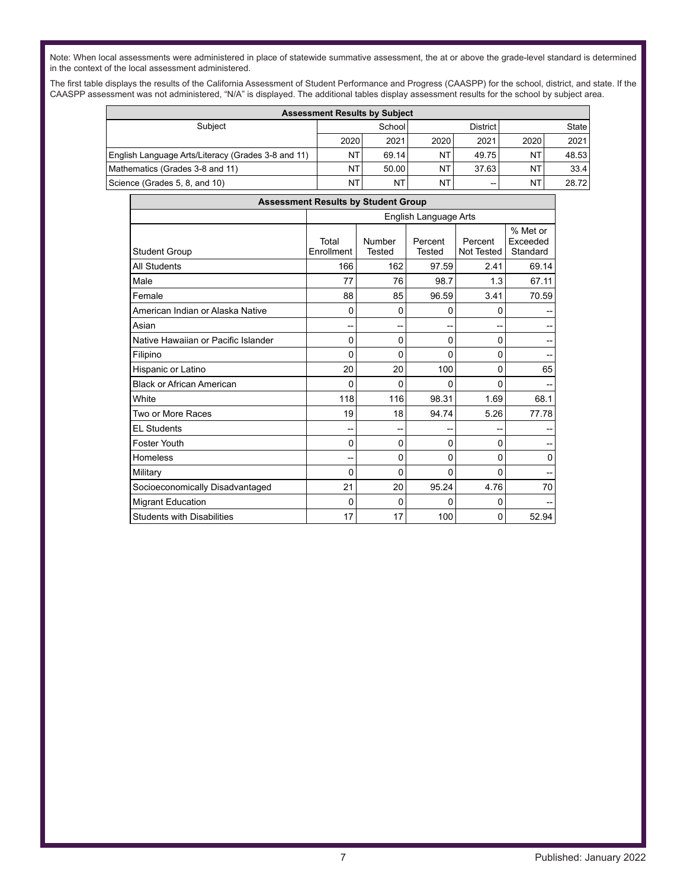Note: When local assessments were administered in place of statewide summative assessment, the at or above the grade-level standard is determined in the context of the local assessment administered.

The first table displays the results of the California Assessment of Student Performance and Progress (CAASPP) for the school, district, and state. If the CAASPP assessment was not administered, "N/A" is displayed. The additional tables display assessment results for the school by subject area.

| <b>Assessment Results by Subject</b>               |           |                             |           |       |      |       |
|----------------------------------------------------|-----------|-----------------------------|-----------|-------|------|-------|
| Subiect                                            |           | State<br>School<br>District |           |       |      |       |
|                                                    | 2020      | 2021                        | 2020      | 2021  | 2020 | 2021  |
| English Language Arts/Literacy (Grades 3-8 and 11) | NT        | 69.14                       | <b>NT</b> | 49.75 | ΝT   | 48.53 |
| Mathematics (Grades 3-8 and 11)                    | NT        | 50.00                       | NT        | 37.63 | NΤ   | 33.4  |
| Science (Grades 5, 8, and 10)                      | <b>NT</b> | NT                          | NT        | --    | ΝT   | 28.72 |

| <b>Assessment Results by Student Group</b> |                     |                       |                   |                       |                                  |  |  |  |
|--------------------------------------------|---------------------|-----------------------|-------------------|-----------------------|----------------------------------|--|--|--|
|                                            |                     | English Language Arts |                   |                       |                                  |  |  |  |
| <b>Student Group</b>                       | Total<br>Enrollment | Number<br>Tested      | Percent<br>Tested | Percent<br>Not Tested | % Met or<br>Exceeded<br>Standard |  |  |  |
| All Students                               | 166                 | 162                   | 97.59             | 2.41                  | 69.14                            |  |  |  |
| Male                                       | 77                  | 76                    | 98.7              | 1.3                   | 67.11                            |  |  |  |
| Female                                     | 88                  | 85                    | 96.59             | 3.41                  | 70.59                            |  |  |  |
| American Indian or Alaska Native           | 0                   | 0                     | 0                 | 0                     |                                  |  |  |  |
| Asian                                      |                     | --                    |                   | --                    | --                               |  |  |  |
| Native Hawaiian or Pacific Islander        | 0                   | 0                     | 0                 | 0                     | --                               |  |  |  |
| Filipino                                   | 0                   | 0                     | 0                 | 0                     |                                  |  |  |  |
| Hispanic or Latino                         | 20                  | 20                    | 100               | 0                     | 65                               |  |  |  |
| <b>Black or African American</b>           | 0                   | 0                     | 0                 | 0                     |                                  |  |  |  |
| White                                      | 118                 | 116                   | 98.31             | 1.69                  | 68.1                             |  |  |  |
| Two or More Races                          | 19                  | 18                    | 94.74             | 5.26                  | 77.78                            |  |  |  |
| <b>EL Students</b>                         |                     |                       |                   | --                    |                                  |  |  |  |
| Foster Youth                               | 0                   | 0                     | 0                 | 0                     | --                               |  |  |  |
| Homeless                                   |                     | 0                     | 0                 | 0                     | 0                                |  |  |  |
| Military                                   | 0                   | 0                     | 0                 | 0                     | $-$                              |  |  |  |
| Socioeconomically Disadvantaged            | 21                  | 20                    | 95.24             | 4.76                  | 70                               |  |  |  |
| <b>Migrant Education</b>                   | 0                   | 0                     | 0                 | 0                     |                                  |  |  |  |
| <b>Students with Disabilities</b>          | 17                  | 17                    | 100               | 0                     | 52.94                            |  |  |  |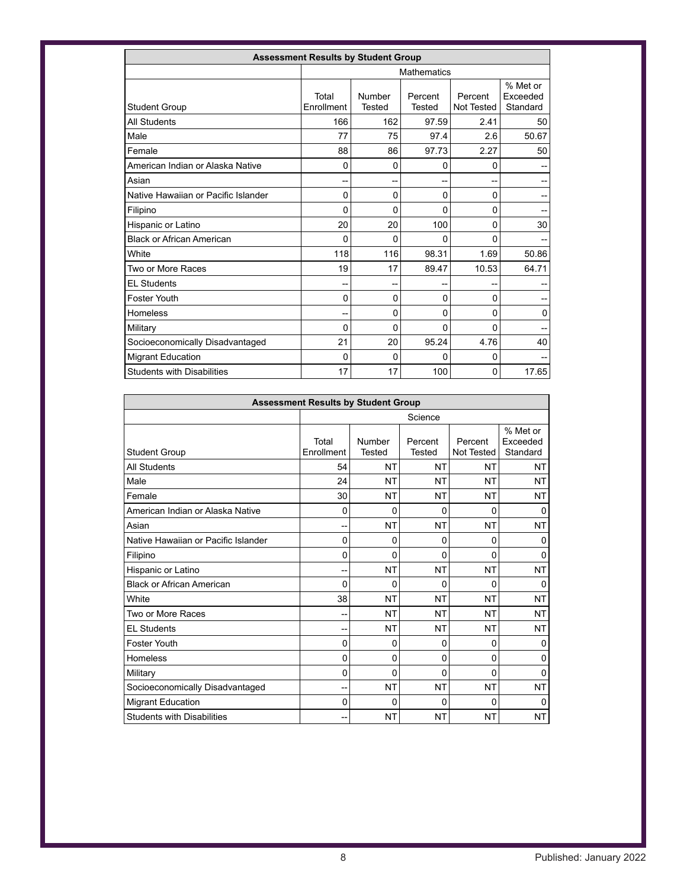| <b>Assessment Results by Student Group</b> |                     |                         |                          |                       |                                  |  |  |
|--------------------------------------------|---------------------|-------------------------|--------------------------|-----------------------|----------------------------------|--|--|
|                                            |                     | <b>Mathematics</b>      |                          |                       |                                  |  |  |
| <b>Student Group</b>                       | Total<br>Enrollment | Number<br><b>Tested</b> | Percent<br><b>Tested</b> | Percent<br>Not Tested | % Met or<br>Exceeded<br>Standard |  |  |
| <b>All Students</b>                        | 166                 | 162                     | 97.59                    | 2.41                  | 50                               |  |  |
| Male                                       | 77                  | 75                      | 97.4                     | 2.6                   | 50.67                            |  |  |
| Female                                     | 88                  | 86                      | 97.73                    | 2.27                  | 50                               |  |  |
| American Indian or Alaska Native           | 0                   | 0                       | 0                        | 0                     |                                  |  |  |
| Asian                                      | --                  | --                      | --                       | --                    |                                  |  |  |
| Native Hawaiian or Pacific Islander        | 0                   | 0                       | 0                        | 0                     | --                               |  |  |
| Filipino                                   | 0                   | 0                       | 0                        | 0                     |                                  |  |  |
| Hispanic or Latino                         | 20                  | 20                      | 100                      | 0                     | 30                               |  |  |
| <b>Black or African American</b>           | 0                   | 0                       | 0                        | 0                     |                                  |  |  |
| White                                      | 118                 | 116                     | 98.31                    | 1.69                  | 50.86                            |  |  |
| Two or More Races                          | 19                  | 17                      | 89.47                    | 10.53                 | 64.71                            |  |  |
| <b>EL Students</b>                         | --                  | --                      |                          | --                    |                                  |  |  |
| Foster Youth                               | 0                   | 0                       | 0                        | 0                     |                                  |  |  |
| Homeless                                   | --                  | 0                       | 0                        | 0                     | 0                                |  |  |
| Military                                   | 0                   | 0                       | 0                        | 0                     | --                               |  |  |
| Socioeconomically Disadvantaged            | 21                  | 20                      | 95.24                    | 4.76                  | 40                               |  |  |
| <b>Migrant Education</b>                   | 0                   | 0                       | 0                        | 0                     |                                  |  |  |
| <b>Students with Disabilities</b>          | 17                  | 17                      | 100                      | 0                     | 17.65                            |  |  |

| <b>Assessment Results by Student Group</b> |                     |                         |                          |                       |                                  |  |  |
|--------------------------------------------|---------------------|-------------------------|--------------------------|-----------------------|----------------------------------|--|--|
|                                            |                     | Science                 |                          |                       |                                  |  |  |
| <b>Student Group</b>                       | Total<br>Enrollment | Number<br><b>Tested</b> | Percent<br><b>Tested</b> | Percent<br>Not Tested | % Met or<br>Exceeded<br>Standard |  |  |
| <b>All Students</b>                        | 54                  | <b>NT</b>               | NT                       | NT                    | NT                               |  |  |
| Male                                       | 24                  | NT                      | <b>NT</b>                | <b>NT</b>             | <b>NT</b>                        |  |  |
| Female                                     | 30                  | NT                      | NT                       | NT                    | NT                               |  |  |
| American Indian or Alaska Native           | 0                   | 0                       | 0                        | 0                     | 0                                |  |  |
| Asian                                      | --                  | <b>NT</b>               | <b>NT</b>                | <b>NT</b>             | <b>NT</b>                        |  |  |
| Native Hawaiian or Pacific Islander        | 0                   | 0                       | 0                        | 0                     | 0                                |  |  |
| Filipino                                   | 0                   | 0                       | 0                        | 0                     | 0                                |  |  |
| Hispanic or Latino                         | --                  | <b>NT</b>               | <b>NT</b>                | NT                    | <b>NT</b>                        |  |  |
| <b>Black or African American</b>           | 0                   | 0                       | 0                        | 0                     | 0                                |  |  |
| White                                      | 38                  | <b>NT</b>               | <b>NT</b>                | <b>NT</b>             | NT                               |  |  |
| Two or More Races                          | --                  | NT                      | NT                       | <b>NT</b>             | NT                               |  |  |
| <b>EL Students</b>                         | --                  | <b>NT</b>               | <b>NT</b>                | <b>NT</b>             | <b>NT</b>                        |  |  |
| Foster Youth                               | 0                   | 0                       | 0                        | 0                     | 0                                |  |  |
| <b>Homeless</b>                            | 0                   | 0                       | 0                        | 0                     | 0                                |  |  |
| Military                                   | 0                   | 0                       | 0                        | 0                     | 0                                |  |  |
| Socioeconomically Disadvantaged            | --                  | <b>NT</b>               | <b>NT</b>                | <b>NT</b>             | <b>NT</b>                        |  |  |
| <b>Migrant Education</b>                   | 0                   | 0                       | 0                        | 0                     | 0                                |  |  |
| <b>Students with Disabilities</b>          | --                  | NT                      | NT                       | <b>NT</b>             | NT                               |  |  |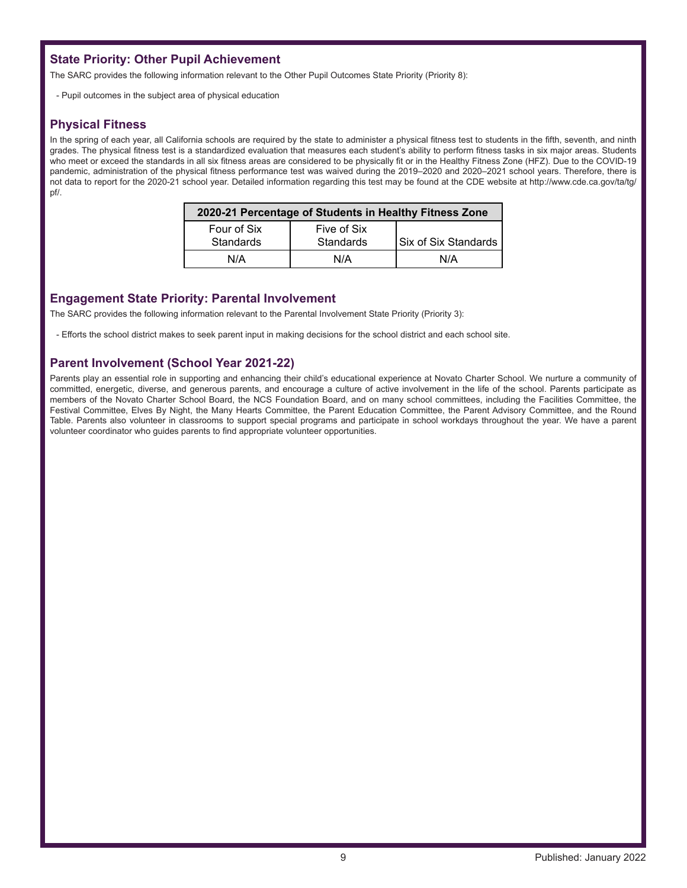## **State Priority: Other Pupil Achievement**

The SARC provides the following information relevant to the Other Pupil Outcomes State Priority (Priority 8):

- Pupil outcomes in the subject area of physical education

#### **Physical Fitness**

In the spring of each year, all California schools are required by the state to administer a physical fitness test to students in the fifth, seventh, and ninth grades. The physical fitness test is a standardized evaluation that measures each student's ability to perform fitness tasks in six major areas. Students who meet or exceed the standards in all six fitness areas are considered to be physically fit or in the Healthy Fitness Zone (HFZ). Due to the COVID-19 pandemic, administration of the physical fitness performance test was waived during the 2019–2020 and 2020–2021 school years. Therefore, there is not data to report for the 2020-21 school year. Detailed information regarding this test may be found at the CDE website at http://www.cde.ca.gov/ta/tg/ pf/.

| 2020-21 Percentage of Students in Healthy Fitness Zone |                                 |                             |  |  |  |  |
|--------------------------------------------------------|---------------------------------|-----------------------------|--|--|--|--|
| Four of Six<br>Standards                               | Five of Six<br><b>Standards</b> | <b>Six of Six Standards</b> |  |  |  |  |
| N/A                                                    | N/A                             | N/A                         |  |  |  |  |

#### **Engagement State Priority: Parental Involvement**

The SARC provides the following information relevant to the Parental Involvement State Priority (Priority 3):

- Efforts the school district makes to seek parent input in making decisions for the school district and each school site.

## **Parent Involvement (School Year 2021-22)**

Parents play an essential role in supporting and enhancing their child's educational experience at Novato Charter School. We nurture a community of committed, energetic, diverse, and generous parents, and encourage a culture of active involvement in the life of the school. Parents participate as members of the Novato Charter School Board, the NCS Foundation Board, and on many school committees, including the Facilities Committee, the Festival Committee, Elves By Night, the Many Hearts Committee, the Parent Education Committee, the Parent Advisory Committee, and the Round Table. Parents also volunteer in classrooms to support special programs and participate in school workdays throughout the year. We have a parent volunteer coordinator who guides parents to find appropriate volunteer opportunities.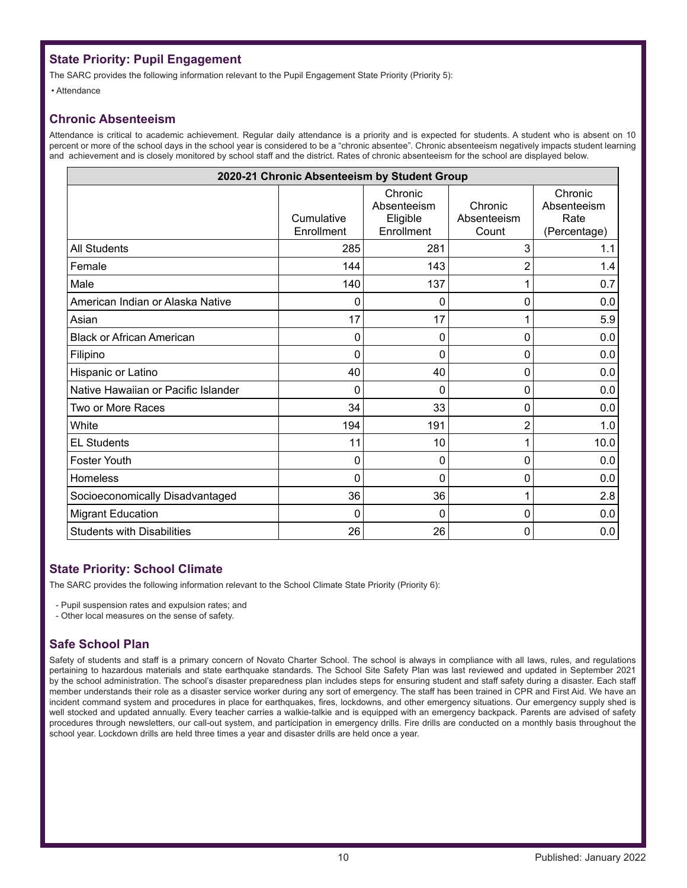# **State Priority: Pupil Engagement**

The SARC provides the following information relevant to the Pupil Engagement State Priority (Priority 5):

• Attendance

## **Chronic Absenteeism**

Attendance is critical to academic achievement. Regular daily attendance is a priority and is expected for students. A student who is absent on 10 percent or more of the school days in the school year is considered to be a "chronic absentee". Chronic absenteeism negatively impacts student learning and achievement and is closely monitored by school staff and the district. Rates of chronic absenteeism for the school are displayed below.

| 2020-21 Chronic Absenteeism by Student Group |                          |                                                  |                                 |                                                |  |  |  |
|----------------------------------------------|--------------------------|--------------------------------------------------|---------------------------------|------------------------------------------------|--|--|--|
|                                              | Cumulative<br>Enrollment | Chronic<br>Absenteeism<br>Eligible<br>Enrollment | Chronic<br>Absenteeism<br>Count | Chronic<br>Absenteeism<br>Rate<br>(Percentage) |  |  |  |
| <b>All Students</b>                          | 285                      | 281                                              | 3                               | 1.1                                            |  |  |  |
| Female                                       | 144                      | 143                                              | $\overline{2}$                  | 1.4                                            |  |  |  |
| Male                                         | 140                      | 137                                              | 1                               | 0.7                                            |  |  |  |
| American Indian or Alaska Native             | 0                        | 0                                                | 0                               | 0.0                                            |  |  |  |
| Asian                                        | 17                       | 17                                               | 1                               | 5.9                                            |  |  |  |
| <b>Black or African American</b>             | 0                        | 0                                                | 0                               | 0.0                                            |  |  |  |
| Filipino                                     | 0                        | 0                                                | 0                               | 0.0                                            |  |  |  |
| Hispanic or Latino                           | 40                       | 40                                               | 0                               | 0.0                                            |  |  |  |
| Native Hawaiian or Pacific Islander          | 0                        | 0                                                | 0                               | 0.0                                            |  |  |  |
| Two or More Races                            | 34                       | 33                                               | 0                               | 0.0                                            |  |  |  |
| White                                        | 194                      | 191                                              | $\overline{c}$                  | 1.0                                            |  |  |  |
| <b>EL Students</b>                           | 11                       | 10                                               | 1                               | 10.0                                           |  |  |  |
| Foster Youth                                 | 0                        | 0                                                | 0                               | 0.0                                            |  |  |  |
| Homeless                                     | 0                        | 0                                                | 0                               | 0.0                                            |  |  |  |
| Socioeconomically Disadvantaged              | 36                       | 36                                               | 1                               | 2.8                                            |  |  |  |
| <b>Migrant Education</b>                     | 0                        | 0                                                | 0                               | 0.0                                            |  |  |  |
| <b>Students with Disabilities</b>            | 26                       | 26                                               | 0                               | 0.0                                            |  |  |  |

## **State Priority: School Climate**

The SARC provides the following information relevant to the School Climate State Priority (Priority 6):

- Pupil suspension rates and expulsion rates; and

- Other local measures on the sense of safety.

## **Safe School Plan**

Safety of students and staff is a primary concern of Novato Charter School. The school is always in compliance with all laws, rules, and regulations pertaining to hazardous materials and state earthquake standards. The School Site Safety Plan was last reviewed and updated in September 2021 by the school administration. The school's disaster preparedness plan includes steps for ensuring student and staff safety during a disaster. Each staff member understands their role as a disaster service worker during any sort of emergency. The staff has been trained in CPR and First Aid. We have an incident command system and procedures in place for earthquakes, fires, lockdowns, and other emergency situations. Our emergency supply shed is well stocked and updated annually. Every teacher carries a walkie-talkie and is equipped with an emergency backpack. Parents are advised of safety procedures through newsletters, our call-out system, and participation in emergency drills. Fire drills are conducted on a monthly basis throughout the school year. Lockdown drills are held three times a year and disaster drills are held once a year.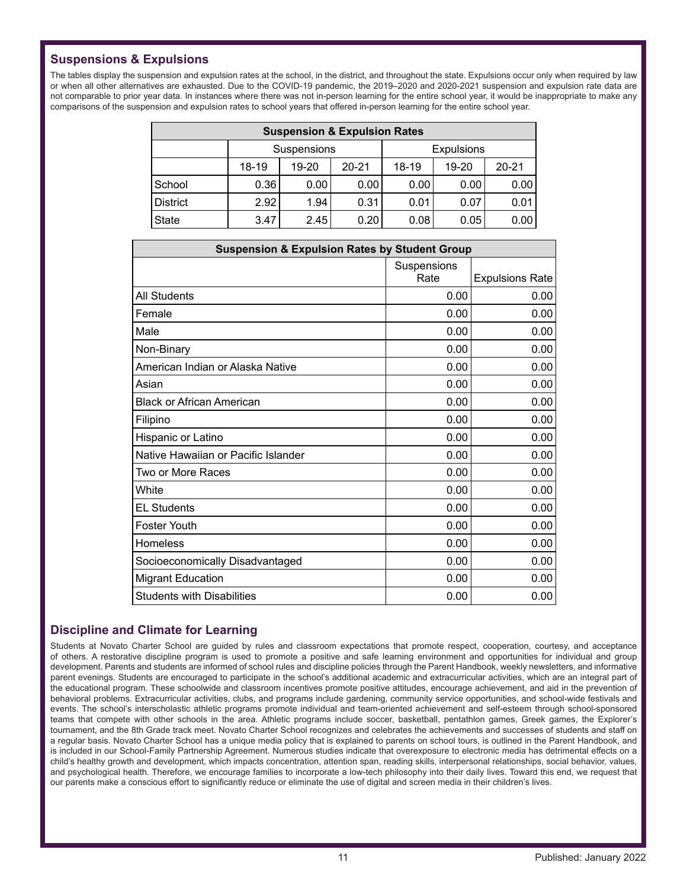# **Suspensions & Expulsions**

The tables display the suspension and expulsion rates at the school, in the district, and throughout the state. Expulsions occur only when required by law or when all other alternatives are exhausted. Due to the COVID-19 pandemic, the 2019–2020 and 2020-2021 suspension and expulsion rate data are not comparable to prior year data. In instances where there was not in-person learning for the entire school year, it would be inappropriate to make any comparisons of the suspension and expulsion rates to school years that offered in-person learning for the entire school year.

| <b>Suspension &amp; Expulsion Rates</b> |             |                                                     |      |      |      |      |
|-----------------------------------------|-------------|-----------------------------------------------------|------|------|------|------|
|                                         | Suspensions | <b>Expulsions</b>                                   |      |      |      |      |
|                                         | 18-19       | $20 - 21$<br>$18-19$<br>$20 - 21$<br>19-20<br>19-20 |      |      |      |      |
| School                                  | 0.36        | 0.001                                               | 0.00 | 0.00 | 0.00 | 0.00 |
| <b>District</b>                         | 2.92        | 1.94                                                | 0.31 | 0.01 | 0.07 | 0.01 |
| <b>State</b>                            | 3.47        | 2.45                                                | 0.20 | 0.08 | 0.05 | 0.00 |

| <b>Suspension &amp; Expulsion Rates by Student Group</b> |                     |                        |  |  |  |
|----------------------------------------------------------|---------------------|------------------------|--|--|--|
|                                                          | Suspensions<br>Rate | <b>Expulsions Rate</b> |  |  |  |
| <b>All Students</b>                                      | 0.00                | 0.00                   |  |  |  |
| Female                                                   | 0.00                | 0.00                   |  |  |  |
| Male                                                     | 0.00                | 0.00                   |  |  |  |
| Non-Binary                                               | 0.00                | 0.00                   |  |  |  |
| American Indian or Alaska Native                         | 0.00                | 0.00                   |  |  |  |
| Asian                                                    | 0.00                | 0.00                   |  |  |  |
| <b>Black or African American</b>                         | 0.00                | 0.00                   |  |  |  |
| Filipino                                                 | 0.00                | 0.00                   |  |  |  |
| Hispanic or Latino                                       | 0.00                | 0.00                   |  |  |  |
| Native Hawaiian or Pacific Islander                      | 0.00                | 0.00                   |  |  |  |
| Two or More Races                                        | 0.00                | 0.00                   |  |  |  |
| White                                                    | 0.00                | 0.00                   |  |  |  |
| <b>EL Students</b>                                       | 0.00                | 0.00                   |  |  |  |
| <b>Foster Youth</b>                                      | 0.00                | 0.00                   |  |  |  |
| <b>Homeless</b>                                          | 0.00                | 0.00                   |  |  |  |
| Socioeconomically Disadvantaged                          | 0.00                | 0.00                   |  |  |  |
| <b>Migrant Education</b>                                 | 0.00                | 0.00                   |  |  |  |
| <b>Students with Disabilities</b>                        | 0.00                | 0.00                   |  |  |  |

## **Discipline and Climate for Learning**

Students at Novato Charter School are guided by rules and classroom expectations that promote respect, cooperation, courtesy, and acceptance of others. A restorative discipline program is used to promote a positive and safe learning environment and opportunities for individual and group development. Parents and students are informed of school rules and discipline policies through the Parent Handbook, weekly newsletters, and informative parent evenings. Students are encouraged to participate in the school's additional academic and extracurricular activities, which are an integral part of the educational program. These schoolwide and classroom incentives promote positive attitudes, encourage achievement, and aid in the prevention of behavioral problems. Extracurricular activities, clubs, and programs include gardening, community service opportunities, and school-wide festivals and events. The school's interscholastic athletic programs promote individual and team-oriented achievement and self-esteem through school-sponsored teams that compete with other schools in the area. Athletic programs include soccer, basketball, pentathlon games, Greek games, the Explorer's tournament, and the 8th Grade track meet. Novato Charter School recognizes and celebrates the achievements and successes of students and staff on a regular basis. Novato Charter School has a unique media policy that is explained to parents on school tours, is outlined in the Parent Handbook, and is included in our School-Family Partnership Agreement. Numerous studies indicate that overexposure to electronic media has detrimental effects on a child's healthy growth and development, which impacts concentration, attention span, reading skills, interpersonal relationships, social behavior, values, and psychological health. Therefore, we encourage families to incorporate a low-tech philosophy into their daily lives. Toward this end, we request that our parents make a conscious effort to significantly reduce or eliminate the use of digital and screen media in their children's lives.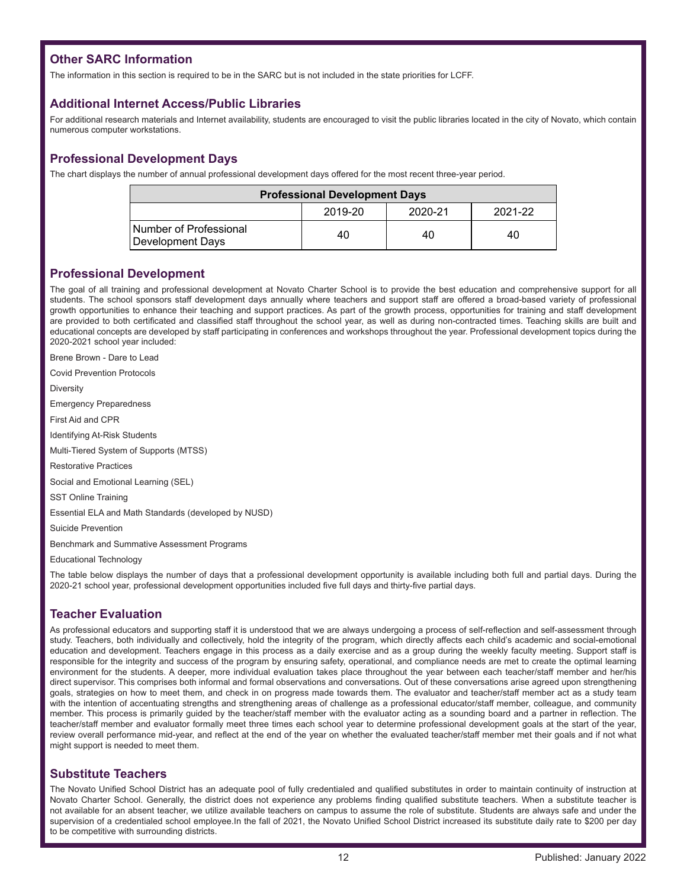# **Other SARC Information**

The information in this section is required to be in the SARC but is not included in the state priorities for LCFF.

#### **Additional Internet Access/Public Libraries**

For additional research materials and Internet availability, students are encouraged to visit the public libraries located in the city of Novato, which contain numerous computer workstations.

## **Professional Development Days**

The chart displays the number of annual professional development days offered for the most recent three-year period.

| <b>Professional Development Days</b>       |    |    |    |  |  |
|--------------------------------------------|----|----|----|--|--|
| 2020-21<br>2019-20<br>2021-22              |    |    |    |  |  |
| Number of Professional<br>Development Days | 40 | 40 | 40 |  |  |

#### **Professional Development**

The goal of all training and professional development at Novato Charter School is to provide the best education and comprehensive support for all students. The school sponsors staff development days annually where teachers and support staff are offered a broad-based variety of professional growth opportunities to enhance their teaching and support practices. As part of the growth process, opportunities for training and staff development are provided to both certificated and classified staff throughout the school year, as well as during non-contracted times. Teaching skills are built and educational concepts are developed by staff participating in conferences and workshops throughout the year. Professional development topics during the 2020-2021 school year included:

Brene Brown - Dare to Lead

Covid Prevention Protocols

**Diversity** 

Emergency Preparedness

First Aid and CPR

Identifying At-Risk Students

Multi-Tiered System of Supports (MTSS)

Restorative Practices

Social and Emotional Learning (SEL)

SST Online Training

Essential ELA and Math Standards (developed by NUSD)

Suicide Prevention

Benchmark and Summative Assessment Programs

Educational Technology

The table below displays the number of days that a professional development opportunity is available including both full and partial days. During the 2020-21 school year, professional development opportunities included five full days and thirty-five partial days.

# **Teacher Evaluation**

As professional educators and supporting staff it is understood that we are always undergoing a process of self-reflection and self-assessment through study. Teachers, both individually and collectively, hold the integrity of the program, which directly affects each child's academic and social-emotional education and development. Teachers engage in this process as a daily exercise and as a group during the weekly faculty meeting. Support staff is responsible for the integrity and success of the program by ensuring safety, operational, and compliance needs are met to create the optimal learning environment for the students. A deeper, more individual evaluation takes place throughout the year between each teacher/staff member and her/his direct supervisor. This comprises both informal and formal observations and conversations. Out of these conversations arise agreed upon strengthening goals, strategies on how to meet them, and check in on progress made towards them. The evaluator and teacher/staff member act as a study team with the intention of accentuating strengths and strengthening areas of challenge as a professional educator/staff member, colleague, and community member. This process is primarily guided by the teacher/staff member with the evaluator acting as a sounding board and a partner in reflection. The teacher/staff member and evaluator formally meet three times each school year to determine professional development goals at the start of the year, review overall performance mid-year, and reflect at the end of the year on whether the evaluated teacher/staff member met their goals and if not what might support is needed to meet them.

#### **Substitute Teachers**

The Novato Unified School District has an adequate pool of fully credentialed and qualified substitutes in order to maintain continuity of instruction at Novato Charter School. Generally, the district does not experience any problems finding qualified substitute teachers. When a substitute teacher is not available for an absent teacher, we utilize available teachers on campus to assume the role of substitute. Students are always safe and under the supervision of a credentialed school employee.In the fall of 2021, the Novato Unified School District increased its substitute daily rate to \$200 per day to be competitive with surrounding districts.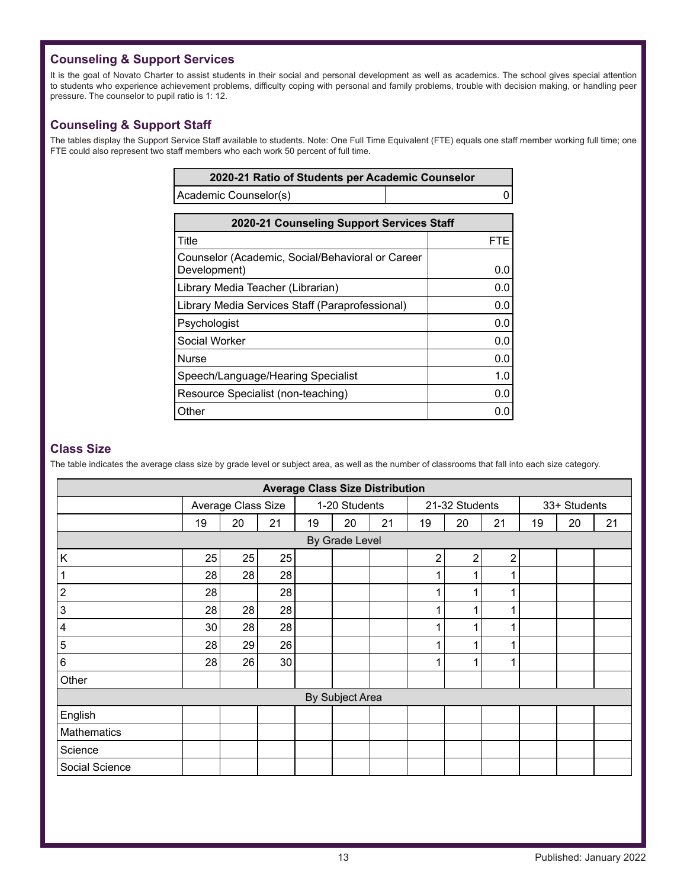# **Counseling & Support Services**

It is the goal of Novato Charter to assist students in their social and personal development as well as academics. The school gives special attention to students who experience achievement problems, difficulty coping with personal and family problems, trouble with decision making, or handling peer pressure. The counselor to pupil ratio is 1: 12.

## **Counseling & Support Staff**

The tables display the Support Service Staff available to students. Note: One Full Time Equivalent (FTE) equals one staff member working full time; one FTE could also represent two staff members who each work 50 percent of full time.

| 2020-21 Ratio of Students per Academic Counselor |  |
|--------------------------------------------------|--|
| Academic Counselor(s)                            |  |

| 2020-21 Counseling Support Services Staff                        |            |  |  |  |
|------------------------------------------------------------------|------------|--|--|--|
| Title                                                            | <b>FTE</b> |  |  |  |
| Counselor (Academic, Social/Behavioral or Career<br>Development) | 0.0        |  |  |  |
| Library Media Teacher (Librarian)                                | 0.0        |  |  |  |
| Library Media Services Staff (Paraprofessional)                  | 0.0        |  |  |  |
| Psychologist                                                     | 0.0        |  |  |  |
| Social Worker                                                    | 0.0        |  |  |  |
| <b>Nurse</b>                                                     | 0.0        |  |  |  |
| Speech/Language/Hearing Specialist                               | 1.0        |  |  |  |
| Resource Specialist (non-teaching)                               | 0.0        |  |  |  |
| Other                                                            | 0.0        |  |  |  |

#### **Class Size**

The table indicates the average class size by grade level or subject area, as well as the number of classrooms that fall into each size category.

| <b>Average Class Size Distribution</b> |    |                    |    |    |                 |    |                |                |            |              |    |    |
|----------------------------------------|----|--------------------|----|----|-----------------|----|----------------|----------------|------------|--------------|----|----|
|                                        |    | Average Class Size |    |    | 1-20 Students   |    | 21-32 Students |                |            | 33+ Students |    |    |
|                                        | 19 | 20                 | 21 | 19 | 20              | 21 | 19             | 20             | 21         | 19           | 20 | 21 |
|                                        |    |                    |    |    | By Grade Level  |    |                |                |            |              |    |    |
| Κ                                      | 25 | 25                 | 25 |    |                 |    | 2              | $\overline{c}$ | $\sqrt{2}$ |              |    |    |
|                                        | 28 | 28                 | 28 |    |                 |    |                | 1              | 4          |              |    |    |
| $\overline{c}$                         | 28 |                    | 28 |    |                 |    |                | 1              |            |              |    |    |
| 3                                      | 28 | 28                 | 28 |    |                 |    | 1              | 1              | 4          |              |    |    |
| 4                                      | 30 | 28                 | 28 |    |                 |    |                | 1              | ٠          |              |    |    |
| 5                                      | 28 | 29                 | 26 |    |                 |    |                | 1              |            |              |    |    |
| 6                                      | 28 | 26                 | 30 |    |                 |    | 1              | 1              | 1          |              |    |    |
| Other                                  |    |                    |    |    |                 |    |                |                |            |              |    |    |
|                                        |    |                    |    |    | By Subject Area |    |                |                |            |              |    |    |
| English                                |    |                    |    |    |                 |    |                |                |            |              |    |    |
| Mathematics                            |    |                    |    |    |                 |    |                |                |            |              |    |    |
| Science                                |    |                    |    |    |                 |    |                |                |            |              |    |    |
| Social Science                         |    |                    |    |    |                 |    |                |                |            |              |    |    |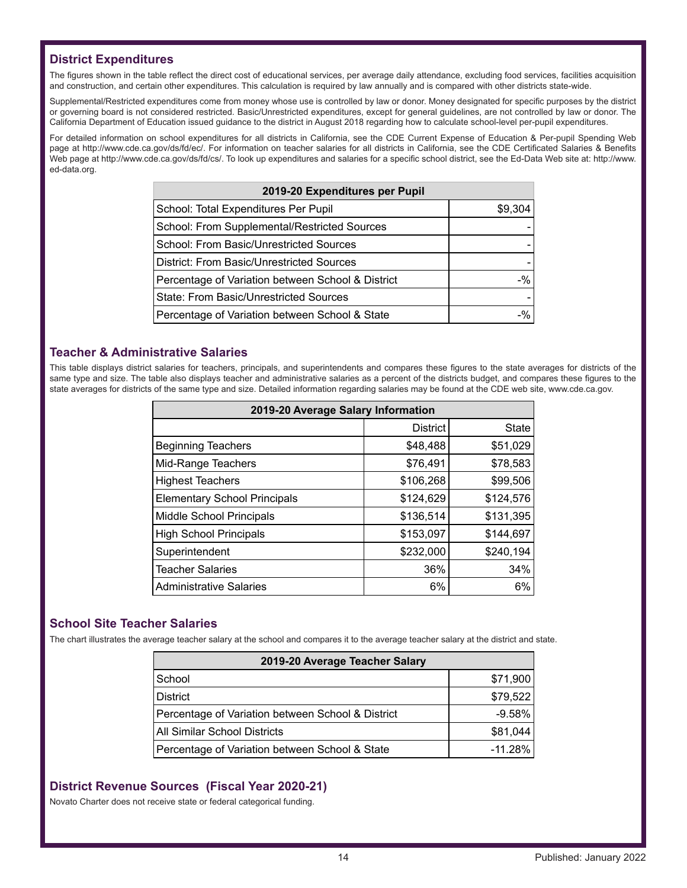## **District Expenditures**

The figures shown in the table reflect the direct cost of educational services, per average daily attendance, excluding food services, facilities acquisition and construction, and certain other expenditures. This calculation is required by law annually and is compared with other districts state-wide.

Supplemental/Restricted expenditures come from money whose use is controlled by law or donor. Money designated for specific purposes by the district or governing board is not considered restricted. Basic/Unrestricted expenditures, except for general guidelines, are not controlled by law or donor. The California Department of Education issued guidance to the district in August 2018 regarding how to calculate school-level per-pupil expenditures.

For detailed information on school expenditures for all districts in California, see the CDE Current Expense of Education & Per-pupil Spending Web page at http://www.cde.ca.gov/ds/fd/ec/. For information on teacher salaries for all districts in California, see the CDE Certificated Salaries & Benefits Web page at http://www.cde.ca.gov/ds/fd/cs/. To look up expenditures and salaries for a specific school district, see the Ed-Data Web site at: http://www. ed-data.org.

| 2019-20 Expenditures per Pupil                    |         |  |  |
|---------------------------------------------------|---------|--|--|
| School: Total Expenditures Per Pupil              | \$9,304 |  |  |
| School: From Supplemental/Restricted Sources      |         |  |  |
| School: From Basic/Unrestricted Sources           |         |  |  |
| District: From Basic/Unrestricted Sources         |         |  |  |
| Percentage of Variation between School & District | $-$ %   |  |  |
| State: From Basic/Unrestricted Sources            |         |  |  |
| Percentage of Variation between School & State    | -%      |  |  |

#### **Teacher & Administrative Salaries**

This table displays district salaries for teachers, principals, and superintendents and compares these figures to the state averages for districts of the same type and size. The table also displays teacher and administrative salaries as a percent of the districts budget, and compares these figures to the state averages for districts of the same type and size. Detailed information regarding salaries may be found at the CDE web site, www.cde.ca.gov.

| 2019-20 Average Salary Information  |                 |           |  |  |  |
|-------------------------------------|-----------------|-----------|--|--|--|
|                                     | <b>District</b> | State     |  |  |  |
| <b>Beginning Teachers</b>           | \$48,488        | \$51,029  |  |  |  |
| Mid-Range Teachers                  | \$76,491        | \$78,583  |  |  |  |
| <b>Highest Teachers</b>             | \$106,268       | \$99,506  |  |  |  |
| <b>Elementary School Principals</b> | \$124,629       | \$124,576 |  |  |  |
| <b>Middle School Principals</b>     | \$136,514       | \$131,395 |  |  |  |
| <b>High School Principals</b>       | \$153,097       | \$144,697 |  |  |  |
| Superintendent                      | \$232,000       | \$240,194 |  |  |  |
| <b>Teacher Salaries</b>             | 36%             | 34%       |  |  |  |
| <b>Administrative Salaries</b>      | 6%              | 6%        |  |  |  |

## **School Site Teacher Salaries**

The chart illustrates the average teacher salary at the school and compares it to the average teacher salary at the district and state.

| 2019-20 Average Teacher Salary                    |           |  |  |  |
|---------------------------------------------------|-----------|--|--|--|
| School                                            | \$71,900  |  |  |  |
| <b>District</b>                                   | \$79,522  |  |  |  |
| Percentage of Variation between School & District | $-9.58%$  |  |  |  |
| All Similar School Districts                      | \$81,044  |  |  |  |
| Percentage of Variation between School & State    | $-11.28%$ |  |  |  |

## **District Revenue Sources (Fiscal Year 2020-21)**

Novato Charter does not receive state or federal categorical funding.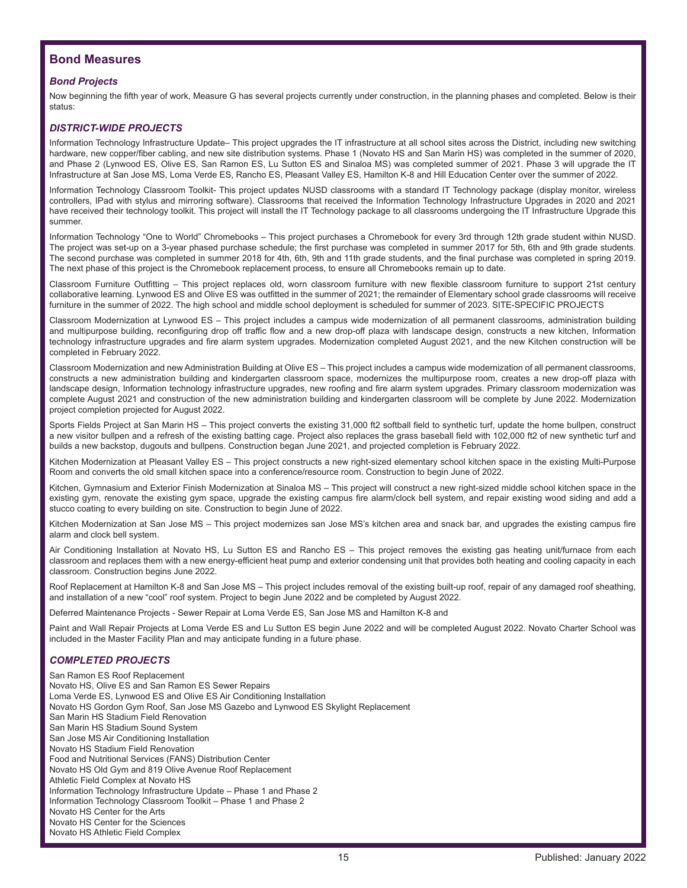## **Bond Measures**

#### *Bond Projects*

Now beginning the fifth year of work, Measure G has several projects currently under construction, in the planning phases and completed. Below is their status:

#### *DISTRICT-WIDE PROJECTS*

Information Technology Infrastructure Update– This project upgrades the IT infrastructure at all school sites across the District, including new switching hardware, new copper/fiber cabling, and new site distribution systems. Phase 1 (Novato HS and San Marin HS) was completed in the summer of 2020, and Phase 2 (Lynwood ES, Olive ES, San Ramon ES, Lu Sutton ES and Sinaloa MS) was completed summer of 2021. Phase 3 will upgrade the IT Infrastructure at San Jose MS, Loma Verde ES, Rancho ES, Pleasant Valley ES, Hamilton K-8 and Hill Education Center over the summer of 2022.

Information Technology Classroom Toolkit- This project updates NUSD classrooms with a standard IT Technology package (display monitor, wireless controllers, IPad with stylus and mirroring software). Classrooms that received the Information Technology Infrastructure Upgrades in 2020 and 2021 have received their technology toolkit. This project will install the IT Technology package to all classrooms undergoing the IT Infrastructure Upgrade this summer.

Information Technology "One to World" Chromebooks – This project purchases a Chromebook for every 3rd through 12th grade student within NUSD. The project was set-up on a 3-year phased purchase schedule; the first purchase was completed in summer 2017 for 5th, 6th and 9th grade students. The second purchase was completed in summer 2018 for 4th, 6th, 9th and 11th grade students, and the final purchase was completed in spring 2019. The next phase of this project is the Chromebook replacement process, to ensure all Chromebooks remain up to date.

Classroom Furniture Outfitting – This project replaces old, worn classroom furniture with new flexible classroom furniture to support 21st century collaborative learning. Lynwood ES and Olive ES was outfitted in the summer of 2021; the remainder of Elementary school grade classrooms will receive furniture in the summer of 2022. The high school and middle school deployment is scheduled for summer of 2023. SITE-SPECIFIC PROJECTS

Classroom Modernization at Lynwood ES – This project includes a campus wide modernization of all permanent classrooms, administration building and multipurpose building, reconfiguring drop off traffic flow and a new drop-off plaza with landscape design, constructs a new kitchen, Information technology infrastructure upgrades and fire alarm system upgrades. Modernization completed August 2021, and the new Kitchen construction will be completed in February 2022.

Classroom Modernization and new Administration Building at Olive ES – This project includes a campus wide modernization of all permanent classrooms, constructs a new administration building and kindergarten classroom space, modernizes the multipurpose room, creates a new drop-off plaza with landscape design, Information technology infrastructure upgrades, new roofing and fire alarm system upgrades. Primary classroom modernization was complete August 2021 and construction of the new administration building and kindergarten classroom will be complete by June 2022. Modernization project completion projected for August 2022.

Sports Fields Project at San Marin HS – This project converts the existing 31,000 ft2 softball field to synthetic turf, update the home bullpen, construct a new visitor bullpen and a refresh of the existing batting cage. Project also replaces the grass baseball field with 102,000 ft2 of new synthetic turf and builds a new backstop, dugouts and bullpens. Construction began June 2021, and projected completion is February 2022.

Kitchen Modernization at Pleasant Valley ES – This project constructs a new right-sized elementary school kitchen space in the existing Multi-Purpose Room and converts the old small kitchen space into a conference/resource room. Construction to begin June of 2022.

Kitchen, Gymnasium and Exterior Finish Modernization at Sinaloa MS – This project will construct a new right-sized middle school kitchen space in the existing gym, renovate the existing gym space, upgrade the existing campus fire alarm/clock bell system, and repair existing wood siding and add a stucco coating to every building on site. Construction to begin June of 2022.

Kitchen Modernization at San Jose MS – This project modernizes san Jose MS's kitchen area and snack bar, and upgrades the existing campus fire alarm and clock bell system.

Air Conditioning Installation at Novato HS, Lu Sutton ES and Rancho ES – This project removes the existing gas heating unit/furnace from each classroom and replaces them with a new energy-efficient heat pump and exterior condensing unit that provides both heating and cooling capacity in each classroom. Construction begins June 2022.

Roof Replacement at Hamilton K-8 and San Jose MS – This project includes removal of the existing built-up roof, repair of any damaged roof sheathing, and installation of a new "cool" roof system. Project to begin June 2022 and be completed by August 2022.

Deferred Maintenance Projects - Sewer Repair at Loma Verde ES, San Jose MS and Hamilton K-8 and

Paint and Wall Repair Projects at Loma Verde ES and Lu Sutton ES begin June 2022 and will be completed August 2022. Novato Charter School was included in the Master Facility Plan and may anticipate funding in a future phase.

#### *COMPLETED PROJECTS*

San Ramon ES Roof Replacement Novato HS, Olive ES and San Ramon ES Sewer Repairs Loma Verde ES, Lynwood ES and Olive ES Air Conditioning Installation Novato HS Gordon Gym Roof, San Jose MS Gazebo and Lynwood ES Skylight Replacement San Marin HS Stadium Field Renovation San Marin HS Stadium Sound System San Jose MS Air Conditioning Installation Novato HS Stadium Field Renovation Food and Nutritional Services (FANS) Distribution Center Novato HS Old Gym and 819 Olive Avenue Roof Replacement Athletic Field Complex at Novato HS Information Technology Infrastructure Update – Phase 1 and Phase 2 Information Technology Classroom Toolkit – Phase 1 and Phase 2 Novato HS Center for the Arts Novato HS Center for the Sciences Novato HS Athletic Field Complex